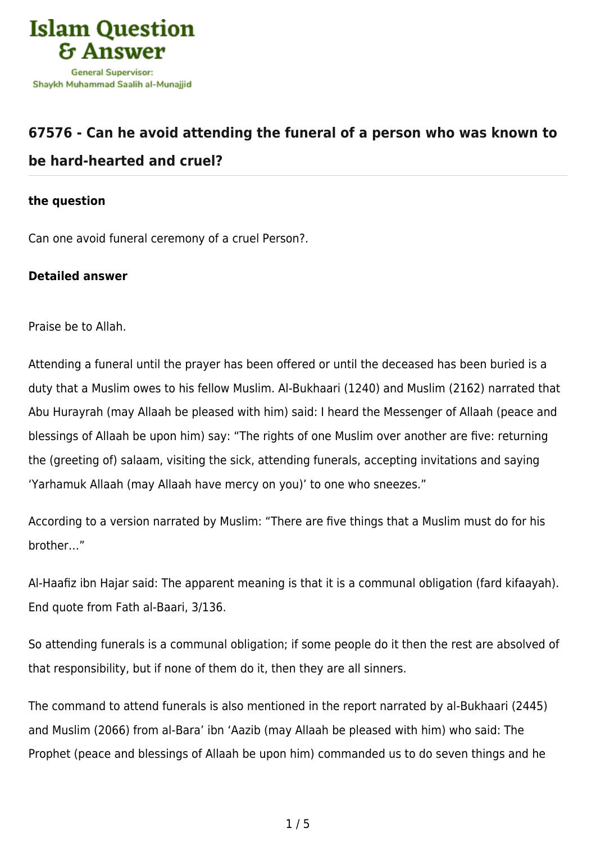

## **[67576 - Can he avoid attending the funeral of a person who was known to](https://islamqa.com/en/answers/67576/can-he-avoid-attending-the-funeral-of-a-person-who-was-known-to-be-hard-hearted-and-cruel) [be hard-hearted and cruel?](https://islamqa.com/en/answers/67576/can-he-avoid-attending-the-funeral-of-a-person-who-was-known-to-be-hard-hearted-and-cruel)**

## **the question**

Can one avoid funeral ceremony of a cruel Person?.

## **Detailed answer**

Praise be to Allah.

Attending a funeral until the prayer has been offered or until the deceased has been buried is a duty that a Muslim owes to his fellow Muslim. Al-Bukhaari (1240) and Muslim (2162) narrated that Abu Hurayrah (may Allaah be pleased with him) said: I heard the Messenger of Allaah (peace and blessings of Allaah be upon him) say: "The rights of one Muslim over another are five: returning the (greeting of) salaam, visiting the sick, attending funerals, accepting invitations and saying 'Yarhamuk Allaah (may Allaah have mercy on you)' to one who sneezes."

According to a version narrated by Muslim: "There are five things that a Muslim must do for his brother…"

Al-Haafiz ibn Hajar said: The apparent meaning is that it is a communal obligation (fard kifaayah). End quote from Fath al-Baari, 3/136.

So attending funerals is a communal obligation; if some people do it then the rest are absolved of that responsibility, but if none of them do it, then they are all sinners.

The command to attend funerals is also mentioned in the report narrated by al-Bukhaari (2445) and Muslim (2066) from al-Bara' ibn 'Aazib (may Allaah be pleased with him) who said: The Prophet (peace and blessings of Allaah be upon him) commanded us to do seven things and he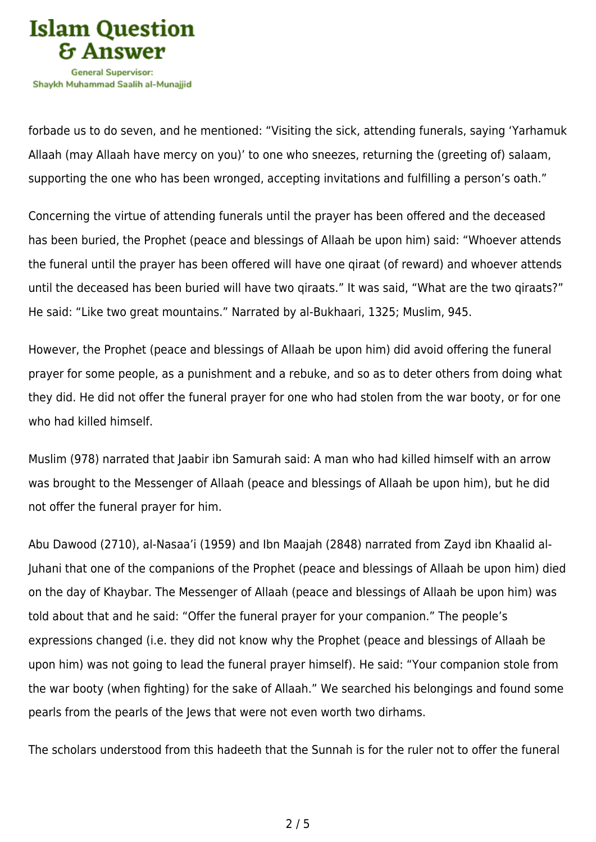

forbade us to do seven, and he mentioned: "Visiting the sick, attending funerals, saying 'Yarhamuk Allaah (may Allaah have mercy on you)' to one who sneezes, returning the (greeting of) salaam, supporting the one who has been wronged, accepting invitations and fulfilling a person's oath."

Concerning the virtue of attending funerals until the prayer has been offered and the deceased has been buried, the Prophet (peace and blessings of Allaah be upon him) said: "Whoever attends the funeral until the prayer has been offered will have one qiraat (of reward) and whoever attends until the deceased has been buried will have two qiraats." It was said, "What are the two qiraats?" He said: "Like two great mountains." Narrated by al-Bukhaari, 1325; Muslim, 945.

However, the Prophet (peace and blessings of Allaah be upon him) did avoid offering the funeral prayer for some people, as a punishment and a rebuke, and so as to deter others from doing what they did. He did not offer the funeral prayer for one who had stolen from the war booty, or for one who had killed himself.

Muslim (978) narrated that Jaabir ibn Samurah said: A man who had killed himself with an arrow was brought to the Messenger of Allaah (peace and blessings of Allaah be upon him), but he did not offer the funeral prayer for him.

Abu Dawood (2710), al-Nasaa'i (1959) and Ibn Maajah (2848) narrated from Zayd ibn Khaalid al-Juhani that one of the companions of the Prophet (peace and blessings of Allaah be upon him) died on the day of Khaybar. The Messenger of Allaah (peace and blessings of Allaah be upon him) was told about that and he said: "Offer the funeral prayer for your companion." The people's expressions changed (i.e. they did not know why the Prophet (peace and blessings of Allaah be upon him) was not going to lead the funeral prayer himself). He said: "Your companion stole from the war booty (when fighting) for the sake of Allaah." We searched his belongings and found some pearls from the pearls of the Jews that were not even worth two dirhams.

The scholars understood from this hadeeth that the Sunnah is for the ruler not to offer the funeral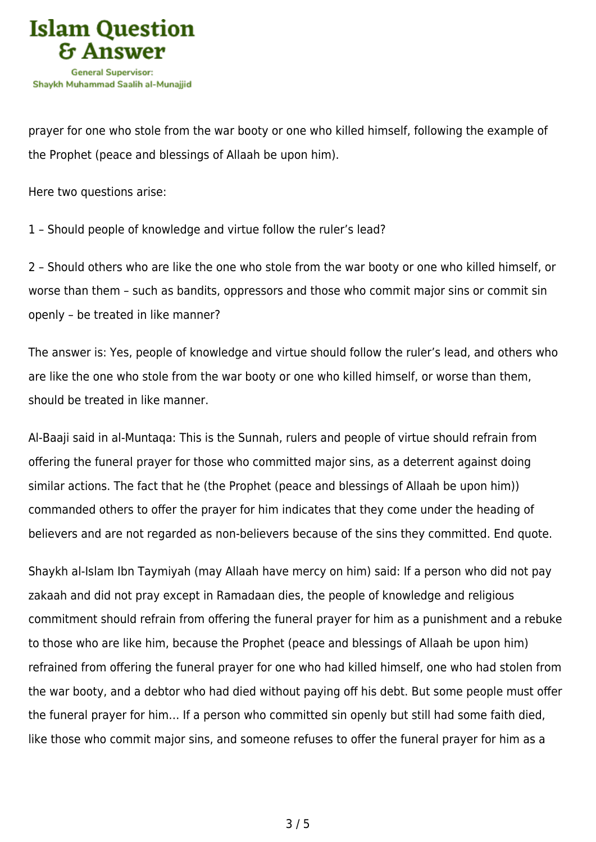

prayer for one who stole from the war booty or one who killed himself, following the example of the Prophet (peace and blessings of Allaah be upon him).

Here two questions arise:

1 – Should people of knowledge and virtue follow the ruler's lead?

2 – Should others who are like the one who stole from the war booty or one who killed himself, or worse than them – such as bandits, oppressors and those who commit major sins or commit sin openly – be treated in like manner?

The answer is: Yes, people of knowledge and virtue should follow the ruler's lead, and others who are like the one who stole from the war booty or one who killed himself, or worse than them, should be treated in like manner.

Al-Baaji said in al-Muntaqa: This is the Sunnah, rulers and people of virtue should refrain from offering the funeral prayer for those who committed major sins, as a deterrent against doing similar actions. The fact that he (the Prophet (peace and blessings of Allaah be upon him)) commanded others to offer the prayer for him indicates that they come under the heading of believers and are not regarded as non-believers because of the sins they committed. End quote.

Shaykh al-Islam Ibn Taymiyah (may Allaah have mercy on him) said: If a person who did not pay zakaah and did not pray except in Ramadaan dies, the people of knowledge and religious commitment should refrain from offering the funeral prayer for him as a punishment and a rebuke to those who are like him, because the Prophet (peace and blessings of Allaah be upon him) refrained from offering the funeral prayer for one who had killed himself, one who had stolen from the war booty, and a debtor who had died without paying off his debt. But some people must offer the funeral prayer for him… If a person who committed sin openly but still had some faith died, like those who commit major sins, and someone refuses to offer the funeral prayer for him as a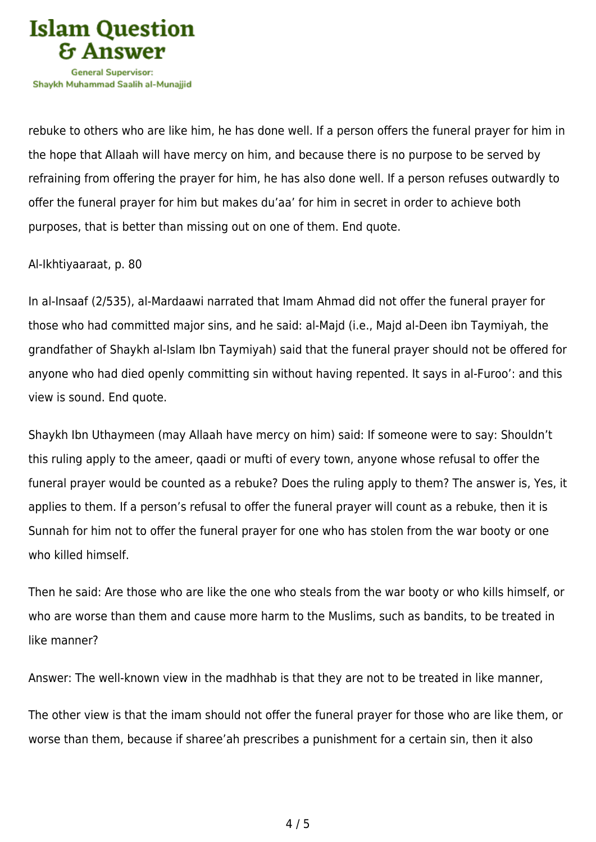

rebuke to others who are like him, he has done well. If a person offers the funeral prayer for him in the hope that Allaah will have mercy on him, and because there is no purpose to be served by refraining from offering the prayer for him, he has also done well. If a person refuses outwardly to offer the funeral prayer for him but makes du'aa' for him in secret in order to achieve both purposes, that is better than missing out on one of them. End quote.

Al-Ikhtiyaaraat, p. 80

In al-Insaaf (2/535), al-Mardaawi narrated that Imam Ahmad did not offer the funeral prayer for those who had committed major sins, and he said: al-Majd (i.e., Majd al-Deen ibn Taymiyah, the grandfather of Shaykh al-Islam Ibn Taymiyah) said that the funeral prayer should not be offered for anyone who had died openly committing sin without having repented. It says in al-Furoo': and this view is sound. End quote.

Shaykh Ibn Uthaymeen (may Allaah have mercy on him) said: If someone were to say: Shouldn't this ruling apply to the ameer, qaadi or mufti of every town, anyone whose refusal to offer the funeral prayer would be counted as a rebuke? Does the ruling apply to them? The answer is, Yes, it applies to them. If a person's refusal to offer the funeral prayer will count as a rebuke, then it is Sunnah for him not to offer the funeral prayer for one who has stolen from the war booty or one who killed himself.

Then he said: Are those who are like the one who steals from the war booty or who kills himself, or who are worse than them and cause more harm to the Muslims, such as bandits, to be treated in like manner?

Answer: The well-known view in the madhhab is that they are not to be treated in like manner,

The other view is that the imam should not offer the funeral prayer for those who are like them, or worse than them, because if sharee'ah prescribes a punishment for a certain sin, then it also